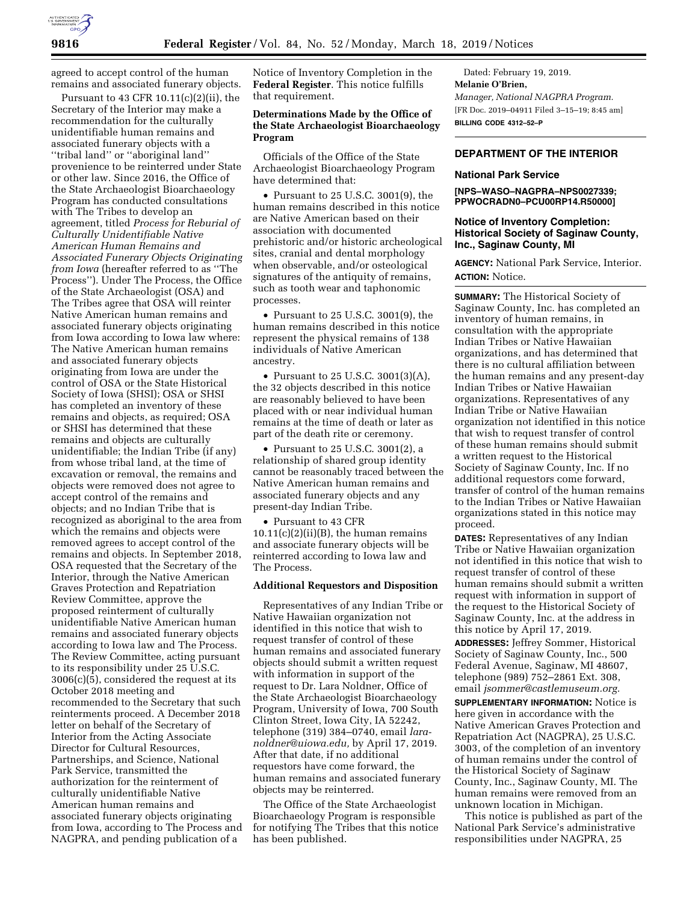agreed to accept control of the human remains and associated funerary objects.

Pursuant to 43 CFR  $10.11(c)(2)(ii)$ , the Secretary of the Interior may make a recommendation for the culturally unidentifiable human remains and associated funerary objects with a ''tribal land'' or ''aboriginal land'' provenience to be reinterred under State or other law. Since 2016, the Office of the State Archaeologist Bioarchaeology Program has conducted consultations with The Tribes to develop an agreement, titled *Process for Reburial of Culturally Unidentifiable Native American Human Remains and Associated Funerary Objects Originating from Iowa* (hereafter referred to as ''The Process''). Under The Process, the Office of the State Archaeologist (OSA) and The Tribes agree that OSA will reinter Native American human remains and associated funerary objects originating from Iowa according to Iowa law where: The Native American human remains and associated funerary objects originating from Iowa are under the control of OSA or the State Historical Society of Iowa (SHSI); OSA or SHSI has completed an inventory of these remains and objects, as required; OSA or SHSI has determined that these remains and objects are culturally unidentifiable; the Indian Tribe (if any) from whose tribal land, at the time of excavation or removal, the remains and objects were removed does not agree to accept control of the remains and objects; and no Indian Tribe that is recognized as aboriginal to the area from which the remains and objects were removed agrees to accept control of the remains and objects. In September 2018, OSA requested that the Secretary of the Interior, through the Native American Graves Protection and Repatriation Review Committee, approve the proposed reinterment of culturally unidentifiable Native American human remains and associated funerary objects according to Iowa law and The Process. The Review Committee, acting pursuant to its responsibility under 25 U.S.C. 3006(c)(5), considered the request at its October 2018 meeting and recommended to the Secretary that such reinterments proceed. A December 2018 letter on behalf of the Secretary of Interior from the Acting Associate Director for Cultural Resources, Partnerships, and Science, National Park Service, transmitted the authorization for the reinterment of culturally unidentifiable Native American human remains and associated funerary objects originating from Iowa, according to The Process and NAGPRA, and pending publication of a

Notice of Inventory Completion in the **Federal Register**. This notice fulfills that requirement.

# **Determinations Made by the Office of the State Archaeologist Bioarchaeology Program**

Officials of the Office of the State Archaeologist Bioarchaeology Program have determined that:

• Pursuant to 25 U.S.C. 3001(9), the human remains described in this notice are Native American based on their association with documented prehistoric and/or historic archeological sites, cranial and dental morphology when observable, and/or osteological signatures of the antiquity of remains, such as tooth wear and taphonomic processes.

• Pursuant to 25 U.S.C. 3001(9), the human remains described in this notice represent the physical remains of 138 individuals of Native American ancestry.

• Pursuant to 25 U.S.C. 3001(3)(A), the 32 objects described in this notice are reasonably believed to have been placed with or near individual human remains at the time of death or later as part of the death rite or ceremony.

• Pursuant to 25 U.S.C. 3001(2), a relationship of shared group identity cannot be reasonably traced between the Native American human remains and associated funerary objects and any present-day Indian Tribe.

• Pursuant to 43 CFR  $10.11(c)(2)(ii)(B)$ , the human remains and associate funerary objects will be reinterred according to Iowa law and The Process.

## **Additional Requestors and Disposition**

Representatives of any Indian Tribe or Native Hawaiian organization not identified in this notice that wish to request transfer of control of these human remains and associated funerary objects should submit a written request with information in support of the request to Dr. Lara Noldner, Office of the State Archaeologist Bioarchaeology Program, University of Iowa, 700 South Clinton Street, Iowa City, IA 52242, telephone (319) 384–0740, email *laranoldner@uiowa.edu,* by April 17, 2019. After that date, if no additional requestors have come forward, the human remains and associated funerary objects may be reinterred.

The Office of the State Archaeologist Bioarchaeology Program is responsible for notifying The Tribes that this notice has been published.

Dated: February 19, 2019. **Melanie O'Brien,**  *Manager, National NAGPRA Program.*  [FR Doc. 2019–04911 Filed 3–15–19; 8:45 am] **BILLING CODE 4312–52–P** 

# **DEPARTMENT OF THE INTERIOR**

## **National Park Service**

## **[NPS–WASO–NAGPRA–NPS0027339; PPWOCRADN0–PCU00RP14.R50000]**

## **Notice of Inventory Completion: Historical Society of Saginaw County, Inc., Saginaw County, MI**

**AGENCY:** National Park Service, Interior. **ACTION:** Notice.

**SUMMARY:** The Historical Society of Saginaw County, Inc. has completed an inventory of human remains, in consultation with the appropriate Indian Tribes or Native Hawaiian organizations, and has determined that there is no cultural affiliation between the human remains and any present-day Indian Tribes or Native Hawaiian organizations. Representatives of any Indian Tribe or Native Hawaiian organization not identified in this notice that wish to request transfer of control of these human remains should submit a written request to the Historical Society of Saginaw County, Inc. If no additional requestors come forward, transfer of control of the human remains to the Indian Tribes or Native Hawaiian organizations stated in this notice may proceed.

**DATES:** Representatives of any Indian Tribe or Native Hawaiian organization not identified in this notice that wish to request transfer of control of these human remains should submit a written request with information in support of the request to the Historical Society of Saginaw County, Inc. at the address in this notice by April 17, 2019.

**ADDRESSES:** Jeffrey Sommer, Historical Society of Saginaw County, Inc., 500 Federal Avenue, Saginaw, MI 48607, telephone (989) 752–2861 Ext. 308, email *jsommer@castlemuseum.org.* 

**SUPPLEMENTARY INFORMATION:** Notice is here given in accordance with the Native American Graves Protection and Repatriation Act (NAGPRA), 25 U.S.C. 3003, of the completion of an inventory of human remains under the control of the Historical Society of Saginaw County, Inc., Saginaw County, MI. The human remains were removed from an unknown location in Michigan.

This notice is published as part of the National Park Service's administrative responsibilities under NAGPRA, 25